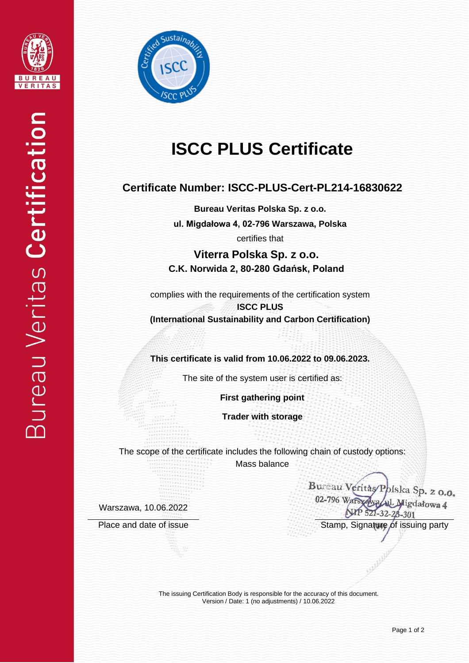



# **ISCC PLUS Certificate**

## **Certificate Number: ISCC-PLUS-Cert-PL214-16830622**

**Bureau Veritas Polska Sp. z o.o. ul. Migdałowa 4, 02-796 Warszawa, Polska** certifies that

**Viterra Polska Sp. z o.o. C.K. Norwida 2, 80-280 Gdańsk, Poland**

complies with the requirements of the certification system **ISCC PLUS (International Sustainability and Carbon Certification)**

**This certificate is valid from 10.06.2022 to 09.06.2023.**

The site of the system user is certified as:

**First gathering point**

**Trader with storage**

The scope of the certificate includes the following chain of custody options: Mass balance

Warszawa, 10.06.2022

Bureau Veritas Polska Sp. z o.o. Wawl. Migdałowa 4 02-796 Wars NP 521-32-28-301

Place and date of issue Stamp, Signature of issuing party

The issuing Certification Body is responsible for the accuracy of this document. Version / Date: 1 (no adjustments) / 10.06.2022